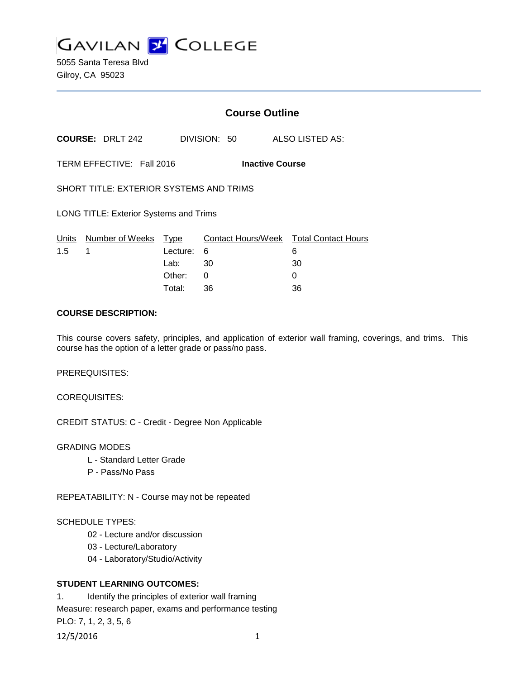

5055 Santa Teresa Blvd Gilroy, CA 95023

# **Course Outline**

**COURSE:** DRLT 242 DIVISION: 50 ALSO LISTED AS:

TERM EFFECTIVE: Fall 2016 **Inactive Course**

SHORT TITLE: EXTERIOR SYSTEMS AND TRIMS

LONG TITLE: Exterior Systems and Trims

|               | Units Number of Weeks Type |            | Contact Hours/Week  Total Contact Hours |    |
|---------------|----------------------------|------------|-----------------------------------------|----|
| $1.5 \quad 1$ |                            | Lecture: 6 |                                         |    |
|               |                            | Lab: _     | - 30                                    | 30 |
|               |                            | Other: 0   |                                         |    |
|               |                            | Total:     | -36                                     | 36 |

### **COURSE DESCRIPTION:**

This course covers safety, principles, and application of exterior wall framing, coverings, and trims. This course has the option of a letter grade or pass/no pass.

PREREQUISITES:

COREQUISITES:

CREDIT STATUS: C - Credit - Degree Non Applicable

#### GRADING MODES

- L Standard Letter Grade
- P Pass/No Pass

REPEATABILITY: N - Course may not be repeated

#### SCHEDULE TYPES:

- 02 Lecture and/or discussion
- 03 Lecture/Laboratory
- 04 Laboratory/Studio/Activity

### **STUDENT LEARNING OUTCOMES:**

1. Identify the principles of exterior wall framing Measure: research paper, exams and performance testing PLO: 7, 1, 2, 3, 5, 6

12/5/2016 1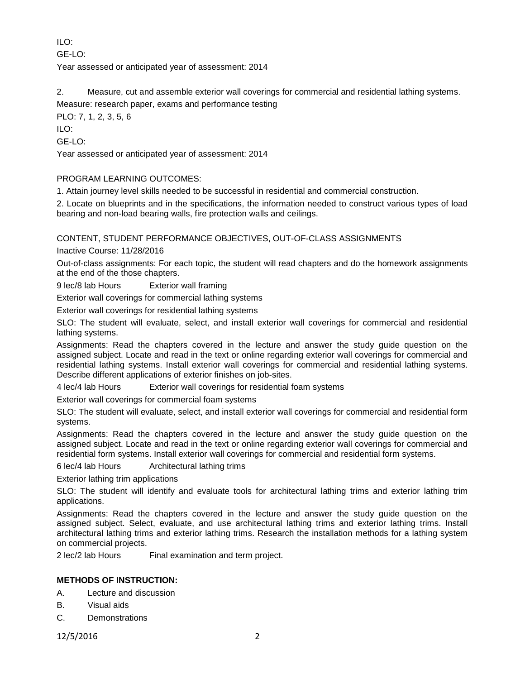ILO:

 $GF-I O<sup>2</sup>$ 

Year assessed or anticipated year of assessment: 2014

2. Measure, cut and assemble exterior wall coverings for commercial and residential lathing systems.

Measure: research paper, exams and performance testing

PLO: 7, 1, 2, 3, 5, 6

ILO:

GE-LO:

Year assessed or anticipated year of assessment: 2014

## PROGRAM LEARNING OUTCOMES:

1. Attain journey level skills needed to be successful in residential and commercial construction.

2. Locate on blueprints and in the specifications, the information needed to construct various types of load bearing and non-load bearing walls, fire protection walls and ceilings.

# CONTENT, STUDENT PERFORMANCE OBJECTIVES, OUT-OF-CLASS ASSIGNMENTS

Inactive Course: 11/28/2016

Out-of-class assignments: For each topic, the student will read chapters and do the homework assignments at the end of the those chapters.

9 lec/8 lab Hours Exterior wall framing

Exterior wall coverings for commercial lathing systems

Exterior wall coverings for residential lathing systems

SLO: The student will evaluate, select, and install exterior wall coverings for commercial and residential lathing systems.

Assignments: Read the chapters covered in the lecture and answer the study guide question on the assigned subject. Locate and read in the text or online regarding exterior wall coverings for commercial and residential lathing systems. Install exterior wall coverings for commercial and residential lathing systems. Describe different applications of exterior finishes on job-sites.

4 lec/4 lab Hours Exterior wall coverings for residential foam systems

Exterior wall coverings for commercial foam systems

SLO: The student will evaluate, select, and install exterior wall coverings for commercial and residential form systems.

Assignments: Read the chapters covered in the lecture and answer the study guide question on the assigned subject. Locate and read in the text or online regarding exterior wall coverings for commercial and residential form systems. Install exterior wall coverings for commercial and residential form systems.

6 lec/4 lab Hours Architectural lathing trims

Exterior lathing trim applications

SLO: The student will identify and evaluate tools for architectural lathing trims and exterior lathing trim applications.

Assignments: Read the chapters covered in the lecture and answer the study guide question on the assigned subject. Select, evaluate, and use architectural lathing trims and exterior lathing trims. Install architectural lathing trims and exterior lathing trims. Research the installation methods for a lathing system on commercial projects.

2 lec/2 lab Hours Final examination and term project.

# **METHODS OF INSTRUCTION:**

- A. Lecture and discussion
- B. Visual aids
- C. Demonstrations

12/5/2016 2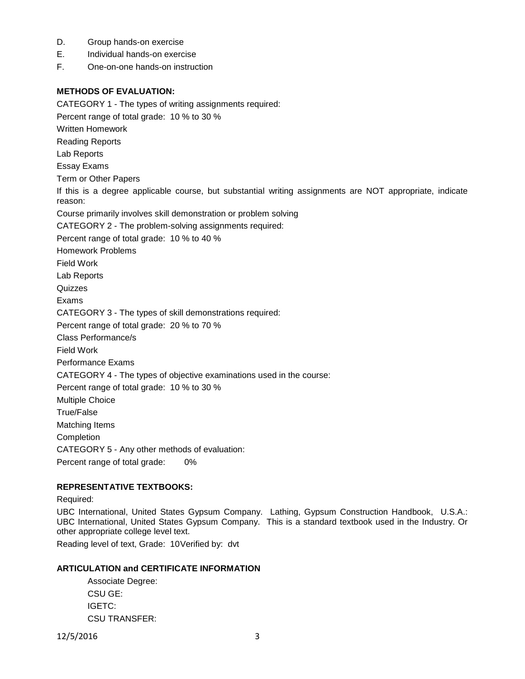- D. Group hands-on exercise
- E. Individual hands-on exercise
- F. One-on-one hands-on instruction

### **METHODS OF EVALUATION:**

CATEGORY 1 - The types of writing assignments required:

Percent range of total grade: 10 % to 30 %

Written Homework

Reading Reports

Lab Reports

Essay Exams

Term or Other Papers

If this is a degree applicable course, but substantial writing assignments are NOT appropriate, indicate reason:

Course primarily involves skill demonstration or problem solving

CATEGORY 2 - The problem-solving assignments required:

Percent range of total grade: 10 % to 40 %

Homework Problems

Field Work

Lab Reports

**Quizzes** 

Exams

CATEGORY 3 - The types of skill demonstrations required:

Percent range of total grade: 20 % to 70 %

Class Performance/s

Field Work

Performance Exams

CATEGORY 4 - The types of objective examinations used in the course:

Percent range of total grade: 10 % to 30 %

Multiple Choice

True/False

Matching Items

Completion

CATEGORY 5 - Any other methods of evaluation:

Percent range of total grade: 0%

### **REPRESENTATIVE TEXTBOOKS:**

#### Required:

UBC International, United States Gypsum Company. Lathing, Gypsum Construction Handbook, U.S.A.: UBC International, United States Gypsum Company. This is a standard textbook used in the Industry. Or other appropriate college level text.

Reading level of text, Grade: 10Verified by: dvt

### **ARTICULATION and CERTIFICATE INFORMATION**

Associate Degree: CSU GE: IGETC: CSU TRANSFER:

12/5/2016 3